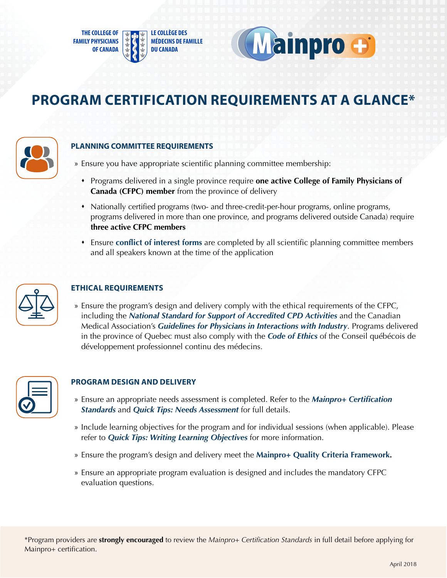



# **PROGRAM CERTIFICATION REQUIREMENTS AT A GLANCE\***



## **PLANNING COMMITTEE REQUIREMENTS**

» Ensure you have appropriate scientific planning committee membership:

- Programs delivered in a single province require **one active College of Family Physicians of Canada (CFPC) member** from the province of delivery
- Nationally certified programs (two- and three-credit-per-hour programs, online programs, programs delivered in more than one province, and programs delivered outside Canada) require **three active CFPC members**
- Ensure **[conflict of interest forms](www.cfpc.ca/conflict-of-interest-form)** are completed by all scientific planning committee members and all speakers known at the time of the application



# **ETHICAL REQUIREMENTS**

» Ensure the program's design and delivery comply with the ethical requirements of the CFPC, including the *[National Standard for Support of Accredited CPD Activities](www.cfpc.ca/national-standard)* and the Canadian Medical Association's *[Guidelines for Physicians in Interactions with Industry](http://policybase.cma.ca/dbtw-wpd/Policypdf/PD08-01.pdf)*. Programs delivered in the province of Quebec must also comply with the *[Code of Ethics](http://cqdpcm.ca/wp-content/uploads/2017/05/Code-of-ethics_en-r%C3%A9vision.pdf)* of the Conseil québécois de développement professionnel continu des médecins.



# **PROGRAM DESIGN AND DELIVERY**

- » Ensure an appropriate needs assessment is completed. Refer to the *[Mainpro+ Certification](www.cfpc.ca/mainpro-certification-standards)  [Standards](www.cfpc.ca/mainpro-certification-standards)*and *[Quick Tips: Needs Assessment](www.cfpc.ca/quick-tip-needs-assessment)* for full details.
- » Include learning objectives for the program and for individual sessions (when applicable). Please refer to *[Quick Tips: Writing Learning Objectives](http://www.cfpc.ca/quick-tip-learning-objectives)* for more information.
- » Ensure the program's design and delivery meet the **[Mainpro+ Quality Criteria Framework](www.cfpc.ca/quality-criteria).**
- » Ensure an appropriate program evaluation is designed and includes the mandatory CFPC evaluation questions.

\*Program providers are **strongly encouraged** to review the *Mainpro+ Certification Standards* in full detail before applying for Mainpro+ certification.